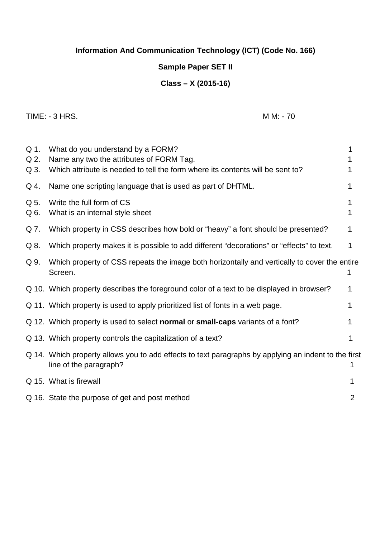# **Information And Communication Technology (ICT) (Code No. 166)**

## **Sample Paper SET II**

## **Class – X (2015-16)**

TIME: - 3 HRS. MM: - 70

| Q 1.<br>Q 2.<br>Q 3. | What do you understand by a FORM?<br>Name any two the attributes of FORM Tag.<br>Which attribute is needed to tell the form where its contents will be sent to? |   |
|----------------------|-----------------------------------------------------------------------------------------------------------------------------------------------------------------|---|
| Q 4.                 | Name one scripting language that is used as part of DHTML.                                                                                                      |   |
| Q 5.<br>Q 6.         | Write the full form of CS<br>What is an internal style sheet                                                                                                    |   |
| Q 7.                 | Which property in CSS describes how bold or "heavy" a font should be presented?                                                                                 |   |
| Q 8.                 | Which property makes it is possible to add different "decorations" or "effects" to text.                                                                        | 1 |
| Q 9.                 | Which property of CSS repeats the image both horizontally and vertically to cover the entire<br>Screen.                                                         |   |
|                      | Q 10. Which property describes the foreground color of a text to be displayed in browser?                                                                       |   |
|                      | Q 11. Which property is used to apply prioritized list of fonts in a web page.                                                                                  |   |
|                      | Q 12. Which property is used to select <b>normal</b> or <b>small-caps</b> variants of a font?                                                                   |   |
|                      | Q 13. Which property controls the capitalization of a text?                                                                                                     |   |
|                      | Q 14. Which property allows you to add effects to text paragraphs by applying an indent to the first<br>line of the paragraph?                                  |   |
|                      | Q 15. What is firewall                                                                                                                                          |   |
|                      | Q 16. State the purpose of get and post method                                                                                                                  | 2 |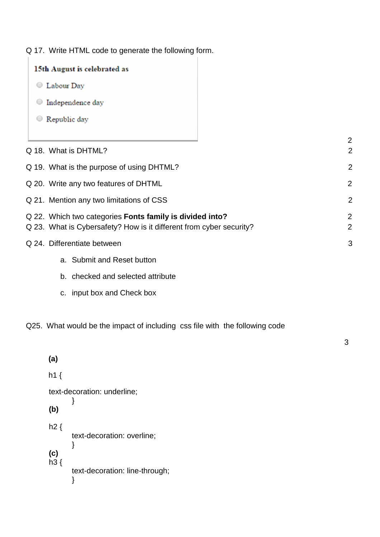Q 17. Write HTML code to generate the following form.

| 15th August is celebrated as                                                                                                    |
|---------------------------------------------------------------------------------------------------------------------------------|
| Labour Day<br>$\cup$                                                                                                            |
| Independence day                                                                                                                |
| Republic day                                                                                                                    |
|                                                                                                                                 |
| Q 18. What is DHTML?                                                                                                            |
| Q 19. What is the purpose of using DHTML?                                                                                       |
| Q 20. Write any two features of DHTML                                                                                           |
| Q 21. Mention any two limitations of CSS                                                                                        |
| Q 22. Which two categories Fonts family is divided into?<br>Q 23. What is Cybersafety? How is it different from cyber security? |
| Q 24. Differentiate between                                                                                                     |
| a. Submit and Reset button                                                                                                      |
| b. checked and selected attribute                                                                                               |

c. input box and Check box

Q25. What would be the impact of including css file with the following code

| (a)                         |                                |  |  |
|-----------------------------|--------------------------------|--|--|
| $h1$ {                      |                                |  |  |
| text-decoration: underline; |                                |  |  |
| (b)                         |                                |  |  |
| h2 {                        | text-decoration: overline;     |  |  |
| (c)<br>$h3$ {               | text-decoration: line-through; |  |  |

3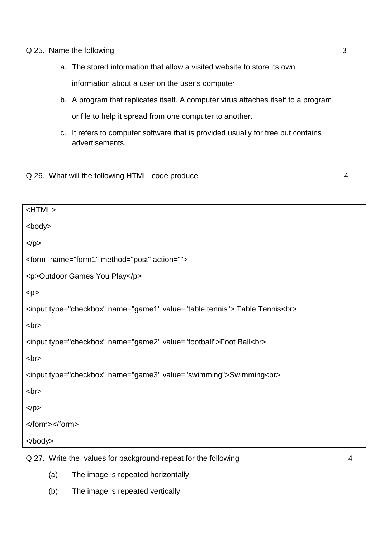#### Q 25. Name the following 3

- a. The stored information that allow a visited website to store its own information about a user on the user's computer
- b. A program that replicates itself. A computer virus attaches itself to a program or file to help it spread from one computer to another.
- c. It refers to computer software that is provided usually for free but contains advertisements.

## Q 26. What will the following HTML code produce 4

| <html></html>                                                               |
|-----------------------------------------------------------------------------|
| <body></body>                                                               |
| $<$ /p>                                                                     |
| <form action="" method="post" name="form1"></form>                          |
| <p>Outdoor Games You Play</p>                                               |
| < p >                                                                       |
| <input name="game1" type="checkbox" value="table tennis"/> Table Tennis<br> |
| <br>                                                                        |
| <input name="game2" type="checkbox" value="football"/> Foot Ball<br>        |
| <br>                                                                        |
| <input name="game3" type="checkbox" value="swimming"/> Swimming<br>         |
| <br>                                                                        |
| $<$ /p>                                                                     |
|                                                                             |
|                                                                             |
|                                                                             |

Q 27. Write the values for background-repeat for the following 4

- (a) The image is repeated horizontally
- (b) The image is repeated vertically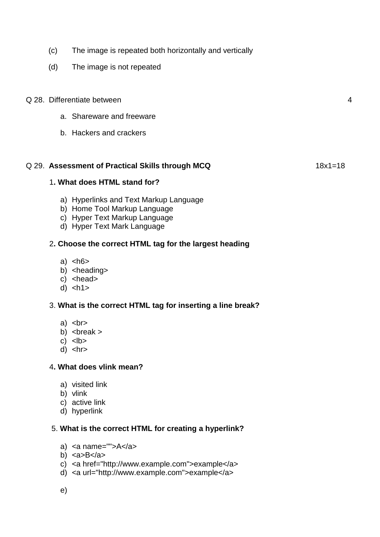- (c) The image is repeated both horizontally and vertically
- (d) The image is not repeated
- Q 28. Differentiate between 4
	- a. Shareware and freeware
	- b. Hackers and crackers

#### Q 29. **Assessment of Practical Skills through MCQ** 18x1=18

## 1**. What does HTML stand for?**

- a) Hyperlinks and Text Markup Language
- b) Home Tool Markup Language
- c) Hyper Text Markup Language
- d) Hyper Text Mark Language

## 2**. Choose the correct HTML tag for the largest heading**

- a)  $$
- b) <heading>
- $c)$  <head>
- $d$ )  $|h|$

## 3. **What is the correct HTML tag for inserting a line break?**

- a)  $$chr$$
- b)  $\langle$  break  $>$
- $c)$   $$
- $d)$  <hr>

## 4**. What does vlink mean?**

- a) visited link
- b) vlink
- c) active link
- d) hyperlink

## 5. **What is the correct HTML for creating a hyperlink?**

- a)  $\langle a \rangle$  a name="">A $\langle a \rangle$
- b)  $<sub>a>B</sub><sub>a</sub>$ </sub>
- c) <a href="http://www.example.com">example</a>
- d) <a url="http://www.example.com">example</a>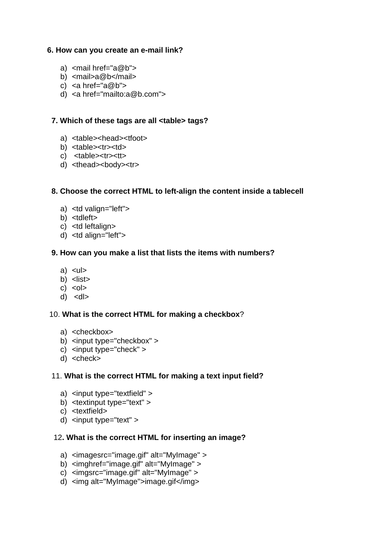## **6. How can you create an e-mail link?**

- a)  $\leq$  mail href="a@b">
- b) <mail>a@b</mail>
- c)  $\langle a \rangle$  href=" $a@b"$
- d) <a href="mailto:a@b.com">

## **7. Which of these tags are all <table> tags?**

- a) <table><head><tfoot>
- b) <table> <tr> > <td>
- c) <table> <tr>
- d) <thead><body><tr>

## **8. Choose the correct HTML to left-align the content inside a tablecell**

- a) <td valign="left">
- b) <tdleft>
- c) <td leftalign>
- d) <td align="left">

## **9. How can you make a list that lists the items with numbers?**

- $a)$   $\lt$ ul $>$
- b) <list>
- $c) < 0$
- $d)$  < $dl$

## 10. **What is the correct HTML for making a checkbox**?

- a) <checkbox>
- b) <input type="checkbox" >
- c) <input type="check" >
- d) <check>

## 11. **What is the correct HTML for making a text input field?**

- a) <input type="textfield" >
- b) <textinput type="text" >
- c) <textfield>
- d) <input type="text" >

## 12**. What is the correct HTML for inserting an image?**

- a) <imagesrc="image.gif" alt="MyImage" >
- b) <imghref="image.gif" alt="MyImage" >
- c) <imgsrc="image.gif" alt="MyImage" >
- d) <img alt="MyImage">image.gif</img>